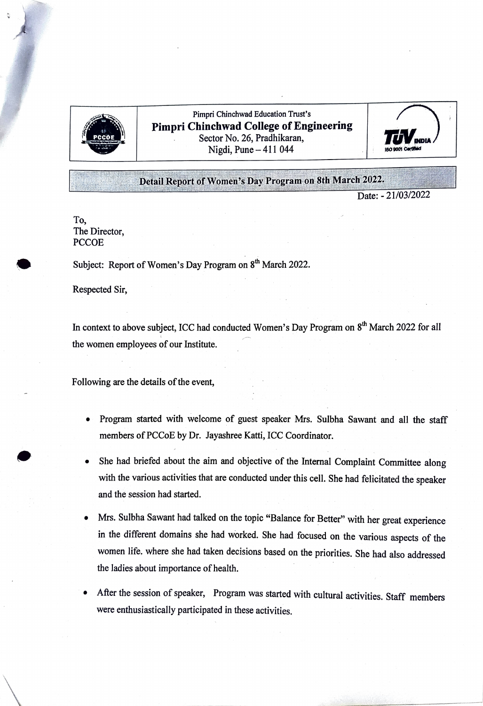

Pimpri Chinchwad Education Trust's Pimpri Chinchwad College of Engineering **PCCOR No. 26, Pradhikaran,**  $Nigid$  **No. 26, Pradhikaran**,  $Nigid$  **TUV No.**  $1044$ 



## Detail Report of Women's Day Program on 8th March 2022.

Date: - 21/03/2022

To, The Director, **PCCOE** 

Subject: Report of Women's Day Program on 8<sup>th</sup> March 2022.

Respected Sir,

In context to above subject, ICC had conducted Women's Day Program on 8<sup>th</sup> March 2022 for all the women employees of our Institute.

Following are the details of the event,

- Program started with welcome of guest speaker Mrs. Sulbha Sawant and all the staff members of PCCoE by Dr. Jayashree Katti, ICC Coordinator.
- She had briefed about the aim and objective of the Internal Complaint Committee along with the various activities that are conducted under this cell. She had felicitated the speaker and the session had started.
- . Mrs. Sulbha Sawant had talked on the topic "Balance for Better" with her great experience in the different domains she had worked. She had focused on the various aspects of the women life. where she had taken decisions based on the priorities. She had also addressed the ladies about importance of health.
- After the session of speaker, Program was started with cultural activities. Staff members were enthusiastically participated in these activities.